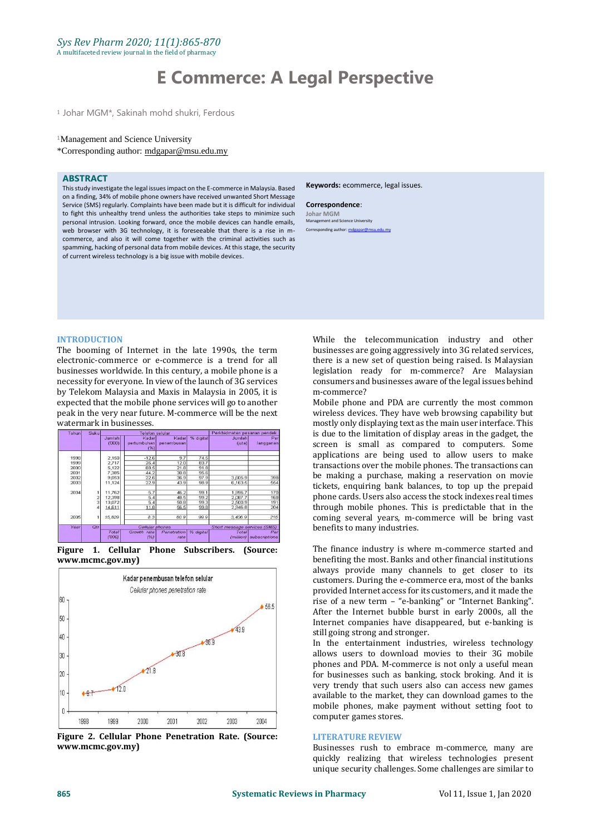# **E Commerce: A Legal Perspective**

<sup>1</sup> Johar MGM\*, Sakinah mohd shukri, Ferdous

#### <sup>1</sup>Management and Science University

\*Corresponding author: [mdgapar@msu.edu.my](mailto:mdgapar@msu.edu.my)

#### **ABSTRACT**

This study investigate the legal issues impact on the E-commerce in Malaysia. Based on a finding, 34% of mobile phone owners have received unwanted Short Message Service (SMS) regularly. Complaints have been made but it is difficult for individual to fight this unhealthy trend unless the authorities take steps to minimize such personal intrusion. Looking forward, once the mobile devices can handle emails, web browser with 3G technology, it is foreseeable that there is a rise in mcommerce, and also it will come together with the criminal activities such as spamming, hacking of personal data from mobile devices. At this stage, the security of current wireless technology is a big issue with mobile devices.

#### **Keywords:** ecommerce, legal issues.

#### **Correspondence**:

**Johar MGM** Management and Science University Corresponding author: mdga

#### **INTRODUCTION**

The booming of Internet in the late 1990s, the term electronic-commerce or e-commerce is a trend for all businesses worldwide. In this century, a mobile phone is a necessity for everyone. In view of the launch of 3G services by Telekom Malaysia and Maxis in Malaysia in 2005, it is expected that the mobile phone services will go to another peak in the very near future. M-commerce will be the next watermark in businesses.

| Tahun | Suku       | <b>Telefon selular</b> |                              |                     |           | Perkhidmatan pesanan pendek  |                      |
|-------|------------|------------------------|------------------------------|---------------------|-----------|------------------------------|----------------------|
|       |            | <b>Jumlah</b><br>(000) | Kadar<br>pertumbuhan<br>(%)] | Kadar<br>penembusan | % digital | Jumlah<br>$(i$ uta)          | Per<br>langganan     |
| 1998  |            | 2,150                  | $-12.6$                      | 9.7                 | 74.5      |                              |                      |
| 1999  |            | 2.717                  | 26.4                         | 12.0                | 83.7      |                              |                      |
| 2000  |            | 5,122                  | 88.5                         | 21.8                | 91.8      |                              |                      |
| 2001  |            | 7,385                  | 44.2                         | 30.8                | 95.6      |                              |                      |
| 2002  |            | 9,053                  | 22.6                         | 36.9                | 97.9      | 3,605.9                      | 398                  |
| 2003  |            | 11,124                 | 22.9                         | 43.9                | 98.9      | 6.163.5                      | 554                  |
| 2004  |            | 11,762                 | 5.7                          | 46.2                | 99.1      | 1,996.7                      | 170                  |
|       |            | 12,398                 | 5.4                          | 48.5                | 99.2      | 2,087.7                      | 168                  |
|       |            | 13,072                 | 5.4                          | 50.8                | 99.3      | 2.500.9                      | 191                  |
|       |            | 14,611                 | 11.8                         | 56.5                | 99.8      | 2.946.8                      | 204                  |
| 2005  |            | 15,829                 | 8.3                          | 60.9                | 99.9      | 3,406.9                      | 215                  |
| Year  | <b>Otr</b> | Cellular phones        |                              |                     |           | Short message services (SMS) |                      |
|       |            | Total<br>(000)         | Growth<br>rate<br>(%)        | Penetration<br>rate | % digital | Total<br>(million)           | Per<br>subscriptions |

**Figure 1. Cellular Phone Subscribers. (Source: [www.mcmc.gov.my\)](http://www.mcmc.gov.my/)**



**Figure 2. Cellular Phone Penetration Rate. (Source: www.mcmc.gov.my)**

While the telecommunication industry and other businesses are going aggressively into 3G related services, there is a new set of question being raised. Is Malaysian legislation ready for m-commerce? Are Malaysian consumers and businesses aware of the legal issues behind m-commerce?

Mobile phone and PDA are currently the most common wireless devices. They have web browsing capability but mostly only displaying text as the main user interface. This is due to the limitation of display areas in the gadget, the screen is small as compared to computers. Some applications are being used to allow users to make transactions over the mobile phones. The transactions can be making a purchase, making a reservation on movie tickets, enquiring bank balances, to top up the prepaid phone cards. Users also access the stock indexes real times through mobile phones. This is predictable that in the coming several years, m-commerce will be bring vast benefits to many industries.

The finance industry is where m-commerce started and benefiting the most. Banks and other financial institutions always provide many channels to get closer to its customers. During the e-commerce era, most of the banks provided Internet access for its customers, and it made the rise of a new term – "e-banking" or "Internet Banking". After the Internet bubble burst in early 2000s, all the Internet companies have disappeared, but e-banking is still going strong and stronger.

In the entertainment industries, wireless technology allows users to download movies to their 3G mobile phones and PDA. M-commerce is not only a useful mean for businesses such as banking, stock broking. And it is very trendy that such users also can access new games available to the market, they can download games to the mobile phones, make payment without setting foot to computer games stores.

#### **LITERATURE REVIEW**

Businesses rush to embrace m-commerce, many are quickly realizing that wireless technologies present unique security challenges. Some challenges are similar to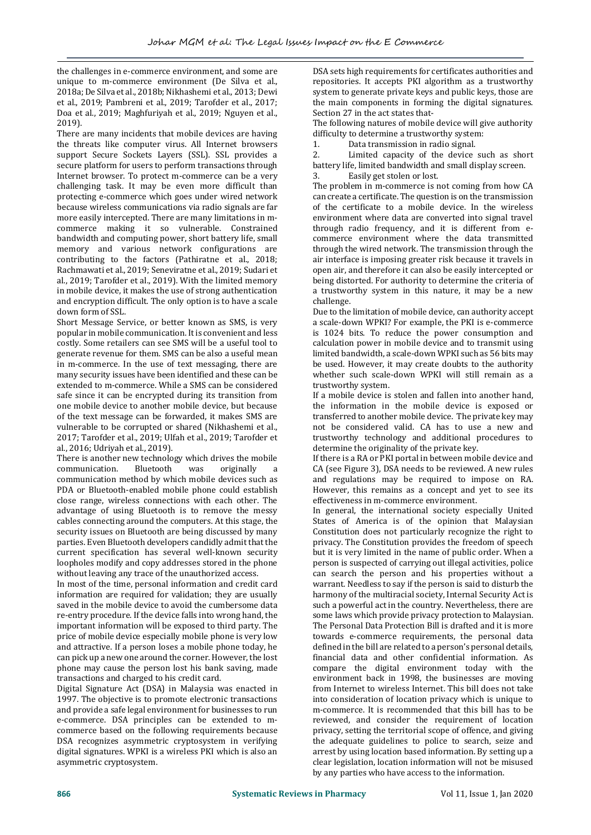the challenges in e-commerce environment, and some are unique to m-commerce environment (De Silva et al., 2018a; De Silva et al., 2018b; Nikhashemi et al., 2013; Dewi et al., 2019; Pambreni et al., 2019; Tarofder et al., 2017; Doa et al., 2019; Maghfuriyah et al., 2019; Nguyen et al., 2019).

There are many incidents that mobile devices are having the threats like computer virus. All Internet browsers support Secure Sockets Layers (SSL). SSL provides a secure platform for users to perform transactions through Internet browser. To protect m-commerce can be a very challenging task. It may be even more difficult than protecting e-commerce which goes under wired network because wireless communications via radio signals are far more easily intercepted. There are many limitations in mcommerce making it so vulnerable. Constrained bandwidth and computing power, short battery life, small memory and various network configurations are contributing to the factors (Pathiratne et al., 2018; Rachmawati et al., 2019; Seneviratne et al., 2019; Sudari et al., 2019; Tarofder et al., 2019). With the limited memory in mobile device, it makes the use of strong authentication and encryption difficult. The only option is to have a scale down form of SSL.

Short Message Service, or better known as SMS, is very popular in mobile communication. It is convenient and less costly. Some retailers can see SMS will be a useful tool to generate revenue for them. SMS can be also a useful mean in m-commerce. In the use of text messaging, there are many security issues have been identified and these can be extended to m-commerce. While a SMS can be considered safe since it can be encrypted during its transition from one mobile device to another mobile device, but because of the text message can be forwarded, it makes SMS are vulnerable to be corrupted or shared (Nikhashemi et al., 2017; Tarofder et al., 2019; Ulfah et al., 2019; Tarofder et al., 2016; Udriyah et al., 2019).

There is another new technology which drives the mobile communication. Bluetooth was originally a communication method by which mobile devices such as PDA or Bluetooth-enabled mobile phone could establish close range, wireless connections with each other. The advantage of using Bluetooth is to remove the messy cables connecting around the computers. At this stage, the security issues on Bluetooth are being discussed by many parties. Even Bluetooth developers candidly admit that the current specification has several well-known security loopholes modify and copy addresses stored in the phone without leaving any trace of the unauthorized access.

In most of the time, personal information and credit card information are required for validation; they are usually saved in the mobile device to avoid the cumbersome data re-entry procedure. If the device falls into wrong hand, the important information will be exposed to third party. The price of mobile device especially mobile phone is very low and attractive. If a person loses a mobile phone today, he can pick up a new one around the corner. However, the lost phone may cause the person lost his bank saving, made transactions and charged to his credit card.

Digital Signature Act (DSA) in Malaysia was enacted in 1997. The objective is to promote electronic transactions and provide a safe legal environment for businesses to run e-commerce. DSA principles can be extended to mcommerce based on the following requirements because DSA recognizes asymmetric cryptosystem in verifying digital signatures. WPKI is a wireless PKI which is also an asymmetric cryptosystem.

DSA sets high requirements for certificates authorities and repositories. It accepts PKI algorithm as a trustworthy system to generate private keys and public keys, those are the main components in forming the digital signatures. Section 27 in the act states that-

The following natures of mobile device will give authority difficulty to determine a trustworthy system:

1. Data transmission in radio signal.

2. Limited capacity of the device such as short battery life, limited bandwidth and small display screen.

3. Easily get stolen or lost.

The problem in m-commerce is not coming from how CA can create a certificate. The question is on the transmission of the certificate to a mobile device. In the wireless environment where data are converted into signal travel through radio frequency, and it is different from ecommerce environment where the data transmitted through the wired network. The transmission through the air interface is imposing greater risk because it travels in open air, and therefore it can also be easily intercepted or being distorted. For authority to determine the criteria of a trustworthy system in this nature, it may be a new challenge.

Due to the limitation of mobile device, can authority accept a scale-down WPKI? For example, the PKI is e-commerce is 1024 bits. To reduce the power consumption and calculation power in mobile device and to transmit using limited bandwidth, a scale-down WPKI such as 56 bits may be used. However, it may create doubts to the authority whether such scale-down WPKI will still remain as a trustworthy system.

If a mobile device is stolen and fallen into another hand, the information in the mobile device is exposed or transferred to another mobile device. The private key may not be considered valid. CA has to use a new and trustworthy technology and additional procedures to determine the originality of the private key.

If there is a RA or PKI portal in between mobile device and CA (see Figure 3), DSA needs to be reviewed. A new rules and regulations may be required to impose on RA. However, this remains as a concept and yet to see its effectiveness in m-commerce environment.

In general, the international society especially United States of America is of the opinion that Malaysian Constitution does not particularly recognize the right to privacy. The Constitution provides the freedom of speech but it is very limited in the name of public order. When a person is suspected of carrying out illegal activities, police can search the person and his properties without a warrant. Needless to say if the person is said to disturb the harmony of the multiracial society, Internal Security Act is such a powerful act in the country. Nevertheless, there are some laws which provide privacy protection to Malaysian. The Personal Data Protection Bill is drafted and it is more towards e-commerce requirements, the personal data defined in the bill are related to a person's personal details, financial data and other confidential information. As compare the digital environment today with the environment back in 1998, the businesses are moving from Internet to wireless Internet. This bill does not take into consideration of location privacy which is unique to m-commerce. It is recommended that this bill has to be reviewed, and consider the requirement of location privacy, setting the territorial scope of offence, and giving the adequate guidelines to police to search, seize and arrest by using location based information. By setting up a clear legislation, location information will not be misused by any parties who have access to the information.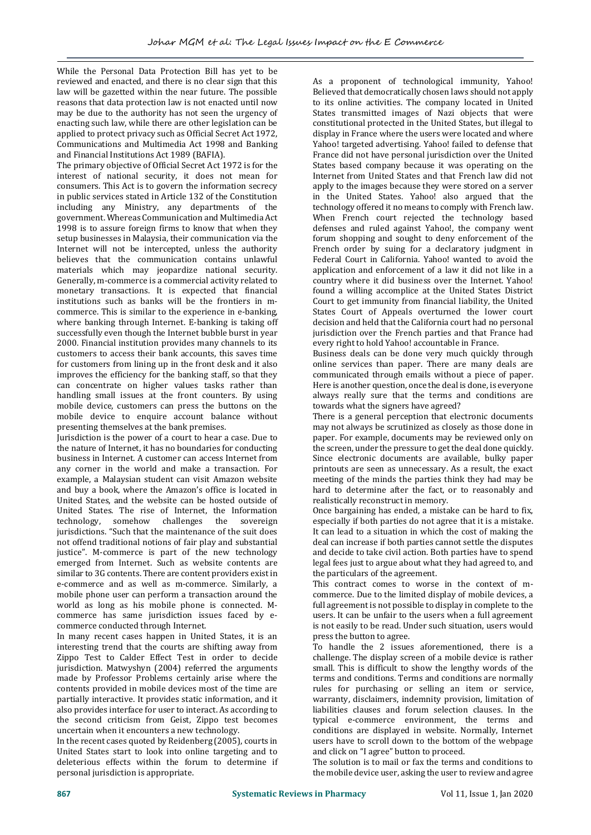While the Personal Data Protection Bill has yet to be reviewed and enacted, and there is no clear sign that this law will be gazetted within the near future. The possible reasons that data protection law is not enacted until now may be due to the authority has not seen the urgency of enacting such law, while there are other legislation can be applied to protect privacy such as Official Secret Act 1972, Communications and Multimedia Act 1998 and Banking and Financial Institutions Act 1989 (BAFIA).

The primary objective of Official Secret Act 1972 is for the interest of national security, it does not mean for consumers. This Act is to govern the information secrecy in public services stated in Article 132 of the Constitution including any Ministry, any departments of the government. Whereas Communication and Multimedia Act 1998 is to assure foreign firms to know that when they setup businesses in Malaysia, their communication via the Internet will not be intercepted, unless the authority believes that the communication contains unlawful materials which may jeopardize national security. Generally, m-commerce is a commercial activity related to monetary transactions. It is expected that financial institutions such as banks will be the frontiers in mcommerce. This is similar to the experience in e-banking, where banking through Internet. E-banking is taking off successfully even though the Internet bubble burst in year 2000. Financial institution provides many channels to its customers to access their bank accounts, this saves time for customers from lining up in the front desk and it also improves the efficiency for the banking staff, so that they can concentrate on higher values tasks rather than handling small issues at the front counters. By using mobile device, customers can press the buttons on the mobile device to enquire account balance without presenting themselves at the bank premises.

Jurisdiction is the power of a court to hear a case. Due to the nature of Internet, it has no boundaries for conducting business in Internet. A customer can access Internet from any corner in the world and make a transaction. For example, a Malaysian student can visit Amazon website and buy a book, where the Amazon's office is located in United States, and the website can be hosted outside of United States. The rise of Internet, the Information technology, somehow challenges the sovereign jurisdictions. "Such that the maintenance of the suit does not offend traditional notions of fair play and substantial justice". M-commerce is part of the new technology emerged from Internet. Such as website contents are similar to 3G contents. There are content providers exist in e-commerce and as well as m-commerce. Similarly, a mobile phone user can perform a transaction around the world as long as his mobile phone is connected. Mcommerce has same jurisdiction issues faced by ecommerce conducted through Internet.

In many recent cases happen in United States, it is an interesting trend that the courts are shifting away from Zippo Test to Calder Effect Test in order to decide jurisdiction. Matwyshyn (2004) referred the arguments made by Professor Problems certainly arise where the contents provided in mobile devices most of the time are partially interactive. It provides static information, and it also provides interface for user to interact. As according to the second criticism from Geist, Zippo test becomes uncertain when it encounters a new technology.

In the recent cases quoted by Reidenberg (2005), courts in United States start to look into online targeting and to deleterious effects within the forum to determine if personal jurisdiction is appropriate.

As a proponent of technological immunity, Yahoo! Believed that democratically chosen laws should not apply to its online activities. The company located in United States transmitted images of Nazi objects that were constitutional protected in the United States, but illegal to display in France where the users were located and where Yahoo! targeted advertising. Yahoo! failed to defense that France did not have personal jurisdiction over the United States based company because it was operating on the Internet from United States and that French law did not apply to the images because they were stored on a server in the United States. Yahoo! also argued that the technology offered it no means to comply with French law. When French court rejected the technology based defenses and ruled against Yahoo!, the company went forum shopping and sought to deny enforcement of the French order by suing for a declaratory judgment in Federal Court in California. Yahoo! wanted to avoid the application and enforcement of a law it did not like in a country where it did business over the Internet. Yahoo! found a willing accomplice at the United States District Court to get immunity from financial liability, the United States Court of Appeals overturned the lower court decision and held that the California court had no personal jurisdiction over the French parties and that France had every right to hold Yahoo! accountable in France.

Business deals can be done very much quickly through online services than paper. There are many deals are communicated through emails without a piece of paper. Here is another question, once the deal is done, is everyone always really sure that the terms and conditions are towards what the signers have agreed?

There is a general perception that electronic documents may not always be scrutinized as closely as those done in paper. For example, documents may be reviewed only on the screen, under the pressure to get the deal done quickly. Since electronic documents are available, bulky paper printouts are seen as unnecessary. As a result, the exact meeting of the minds the parties think they had may be hard to determine after the fact, or to reasonably and realistically reconstruct in memory.

Once bargaining has ended, a mistake can be hard to fix, especially if both parties do not agree that it is a mistake. It can lead to a situation in which the cost of making the deal can increase if both parties cannot settle the disputes and decide to take civil action. Both parties have to spend legal fees just to argue about what they had agreed to, and the particulars of the agreement.

This contract comes to worse in the context of mcommerce. Due to the limited display of mobile devices, a full agreement is not possible to display in complete to the users. It can be unfair to the users when a full agreement is not easily to be read. Under such situation, users would press the button to agree.

To handle the 2 issues aforementioned, there is a challenge. The display screen of a mobile device is rather small. This is difficult to show the lengthy words of the terms and conditions. Terms and conditions are normally rules for purchasing or selling an item or service, warranty, disclaimers, indemnity provision, limitation of liabilities clauses and forum selection clauses. In the typical e-commerce environment, the terms and conditions are displayed in website. Normally, Internet users have to scroll down to the bottom of the webpage and click on "I agree" button to proceed.

The solution is to mail or fax the terms and conditions to the mobile device user, asking the user to review and agree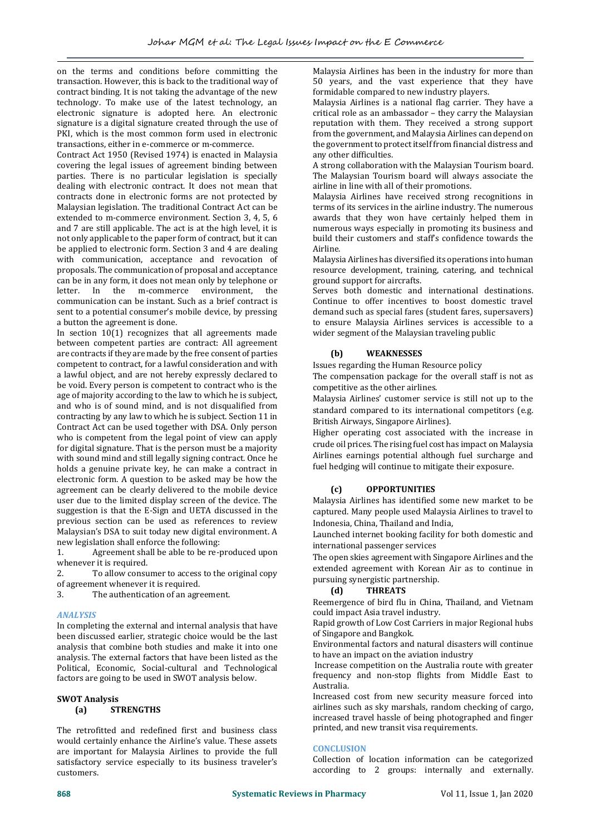on the terms and conditions before committing the transaction. However, this is back to the traditional way of contract binding. It is not taking the advantage of the new technology. To make use of the latest technology, an electronic signature is adopted here. An electronic signature is a digital signature created through the use of PKI, which is the most common form used in electronic transactions, either in e-commerce or m-commerce.

Contract Act 1950 (Revised 1974) is enacted in Malaysia covering the legal issues of agreement binding between parties. There is no particular legislation is specially dealing with electronic contract. It does not mean that contracts done in electronic forms are not protected by Malaysian legislation. The traditional Contract Act can be extended to m-commerce environment. Section 3, 4, 5, 6 and 7 are still applicable. The act is at the high level, it is not only applicable to the paper form of contract, but it can be applied to electronic form. Section 3 and 4 are dealing with communication, acceptance and revocation of proposals. The communication of proposal and acceptance can be in any form, it does not mean only by telephone or letter. In the m-commerce environment, the communication can be instant. Such as a brief contract is sent to a potential consumer's mobile device, by pressing a button the agreement is done.

In section 10(1) recognizes that all agreements made between competent parties are contract: All agreement are contracts if they are made by the free consent of parties competent to contract, for a lawful consideration and with a lawful object, and are not hereby expressly declared to be void. Every person is competent to contract who is the age of majority according to the law to which he is subject, and who is of sound mind, and is not disqualified from contracting by any law to which he is subject. Section 11 in Contract Act can be used together with DSA. Only person who is competent from the legal point of view can apply for digital signature. That is the person must be a majority with sound mind and still legally signing contract. Once he holds a genuine private key, he can make a contract in electronic form. A question to be asked may be how the agreement can be clearly delivered to the mobile device user due to the limited display screen of the device. The suggestion is that the E-Sign and UETA discussed in the previous section can be used as references to review Malaysian's DSA to suit today new digital environment. A new legislation shall enforce the following:

1. Agreement shall be able to be re-produced upon whenever it is required.

2. To allow consumer to access to the original copy of agreement whenever it is required.

3. The authentication of an agreement.

## *ANALYSIS*

In completing the external and internal analysis that have been discussed earlier, strategic choice would be the last analysis that combine both studies and make it into one analysis. The external factors that have been listed as the Political, Economic, Social-cultural and Technological factors are going to be used in SWOT analysis below.

#### **SWOT Analysis (a) STRENGTHS**

The retrofitted and redefined first and business class would certainly enhance the Airline's value. These assets are important for Malaysia Airlines to provide the full satisfactory service especially to its business traveler's customers.

Malaysia Airlines has been in the industry for more than 50 years, and the vast experience that they have formidable compared to new industry players.

Malaysia Airlines is a national flag carrier. They have a critical role as an ambassador – they carry the Malaysian reputation with them. They received a strong support from the government, and Malaysia Airlines can depend on the government to protect itself from financial distress and any other difficulties.

A strong collaboration with the Malaysian Tourism board. The Malaysian Tourism board will always associate the airline in line with all of their promotions.

Malaysia Airlines have received strong recognitions in terms of its services in the airline industry. The numerous awards that they won have certainly helped them in numerous ways especially in promoting its business and build their customers and staff's confidence towards the Airline.

Malaysia Airlines has diversified its operations into human resource development, training, catering, and technical ground support for aircrafts.

Serves both domestic and international destinations. Continue to offer incentives to boost domestic travel demand such as special fares (student fares, supersavers) to ensure Malaysia Airlines services is accessible to a wider segment of the Malaysian traveling public

# **(b) WEAKNESSES**

Issues regarding the Human Resource policy

The compensation package for the overall staff is not as competitive as the other airlines.

Malaysia Airlines' customer service is still not up to the standard compared to its international competitors (e.g. British Airways, Singapore Airlines).

Higher operating cost associated with the increase in crude oil prices. The rising fuel cost has impact on Malaysia Airlines earnings potential although fuel surcharge and fuel hedging will continue to mitigate their exposure.

# **(c) OPPORTUNITIES**

Malaysia Airlines has identified some new market to be captured. Many people used Malaysia Airlines to travel to Indonesia, China, Thailand and India,

Launched internet booking facility for both domestic and international passenger services

The open skies agreement with Singapore Airlines and the extended agreement with Korean Air as to continue in pursuing synergistic partnership.

## **(d) THREATS**

Reemergence of bird flu in China, Thailand, and Vietnam could impact Asia travel industry.

Rapid growth of Low Cost Carriers in major Regional hubs of Singapore and Bangkok.

Environmental factors and natural disasters will continue to have an impact on the aviation industry

Increase competition on the Australia route with greater frequency and non-stop flights from Middle East to Australia.

Increased cost from new security measure forced into airlines such as sky marshals, random checking of cargo, increased travel hassle of being photographed and finger printed, and new transit visa requirements.

## **CONCLUSION**

Collection of location information can be categorized according to 2 groups: internally and externally.